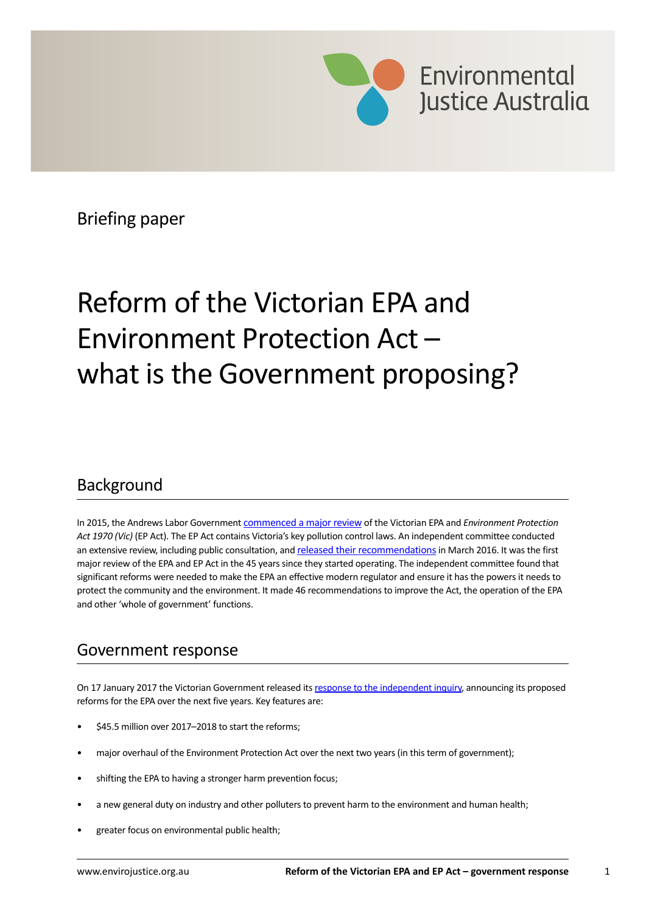

Briefing paper

# Reform of the Victorian EPA and Environment Protection Act – what is the Government proposing?

## Background

In 2015, the Andrews Labor Government [commenced a major review](http://www.epa-inquiry.vic.gov.au/) of the Victorian EPA and *Environment Protection Act 1970 (Vic)* (EP Act). The EP Act contains Victoria's key pollution control laws. An independent committee conducted an extensive review, including public consultation, and [released their recommendations](http://www.epa-inquiry.vic.gov.au/epa-inquiry-report) in March 2016. It was the first major review of the EPA and EP Act in the 45 years since they started operating. The independent committee found that significant reforms were needed to make the EPA an effective modern regulator and ensure it has the powers it needs to protect the community and the environment. It made 46 recommendations to improve the Act, the operation of the EPA and other 'whole of government' functions.

## Government response

On 17 January 2017 the Victorian Government released its [response to the independent inquiry](http://delwp.vic.gov.au/environment-and-wildlife/epa-inquiry), announcing its proposed reforms for the EPA over the next five years. Key features are:

- \$45.5 million over 2017–2018 to start the reforms:
- major overhaul of the Environment Protection Act over the next two years (in this term of government);
- shifting the EPA to having a stronger harm prevention focus;
- a new general duty on industry and other polluters to prevent harm to the environment and human health;
- greater focus on environmental public health;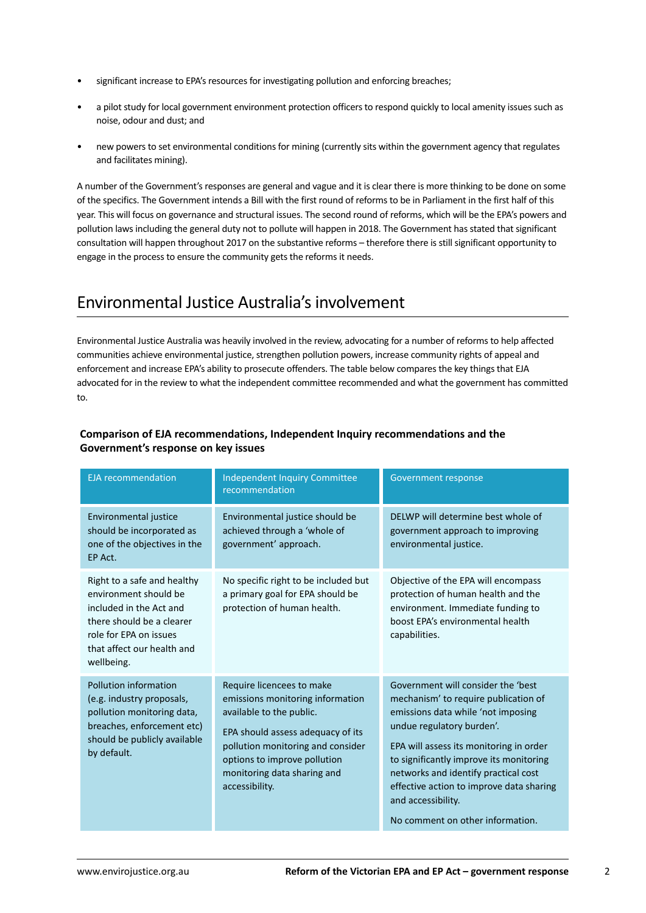- significant increase to EPA's resources for investigating pollution and enforcing breaches;
- a pilot study for local government environment protection officers to respond quickly to local amenity issues such as noise, odour and dust; and
- new powers to set environmental conditions for mining (currently sits within the government agency that regulates and facilitates mining).

A number of the Government's responses are general and vague and it is clear there is more thinking to be done on some of the specifics. The Government intends a Bill with the first round of reforms to be in Parliament in the first half of this year. This will focus on governance and structural issues. The second round of reforms, which will be the EPA's powers and pollution laws including the general duty not to pollute will happen in 2018. The Government has stated that significant consultation will happen throughout 2017 on the substantive reforms – therefore there is still significant opportunity to engage in the process to ensure the community gets the reforms it needs.

## Environmental Justice Australia's involvement

Environmental Justice Australia was heavily involved in the review, advocating for a number of reforms to help affected communities achieve environmental justice, strengthen pollution powers, increase community rights of appeal and enforcement and increase EPA's ability to prosecute offenders. The table below compares the key things that EJA advocated for in the review to what the independent committee recommended and what the government has committed to.

| <b>EJA</b> recommendation                                                                                                                                                          | <b>Independent Inquiry Committee</b><br>recommendation                                                                                                                                                                                               | <b>Government response</b>                                                                                                                                                                                                                                                                                                                                                        |
|------------------------------------------------------------------------------------------------------------------------------------------------------------------------------------|------------------------------------------------------------------------------------------------------------------------------------------------------------------------------------------------------------------------------------------------------|-----------------------------------------------------------------------------------------------------------------------------------------------------------------------------------------------------------------------------------------------------------------------------------------------------------------------------------------------------------------------------------|
| Environmental justice<br>should be incorporated as<br>one of the objectives in the<br>EP Act.                                                                                      | Environmental justice should be<br>achieved through a 'whole of<br>government' approach.                                                                                                                                                             | DELWP will determine best whole of<br>government approach to improving<br>environmental justice.                                                                                                                                                                                                                                                                                  |
| Right to a safe and healthy<br>environment should be<br>included in the Act and<br>there should be a clearer<br>role for EPA on issues<br>that affect our health and<br>wellbeing. | No specific right to be included but<br>a primary goal for EPA should be<br>protection of human health.                                                                                                                                              | Objective of the EPA will encompass<br>protection of human health and the<br>environment. Immediate funding to<br>boost EPA's environmental health<br>capabilities.                                                                                                                                                                                                               |
| Pollution information<br>(e.g. industry proposals,<br>pollution monitoring data,<br>breaches, enforcement etc)<br>should be publicly available<br>by default.                      | Require licencees to make<br>emissions monitoring information<br>available to the public.<br>EPA should assess adequacy of its<br>pollution monitoring and consider<br>options to improve pollution<br>monitoring data sharing and<br>accessibility. | Government will consider the 'best<br>mechanism' to require publication of<br>emissions data while 'not imposing<br>undue regulatory burden'.<br>EPA will assess its monitoring in order<br>to significantly improve its monitoring<br>networks and identify practical cost<br>effective action to improve data sharing<br>and accessibility.<br>No comment on other information. |

#### **Comparison of EJA recommendations, Independent Inquiry recommendations and the Government's response on key issues**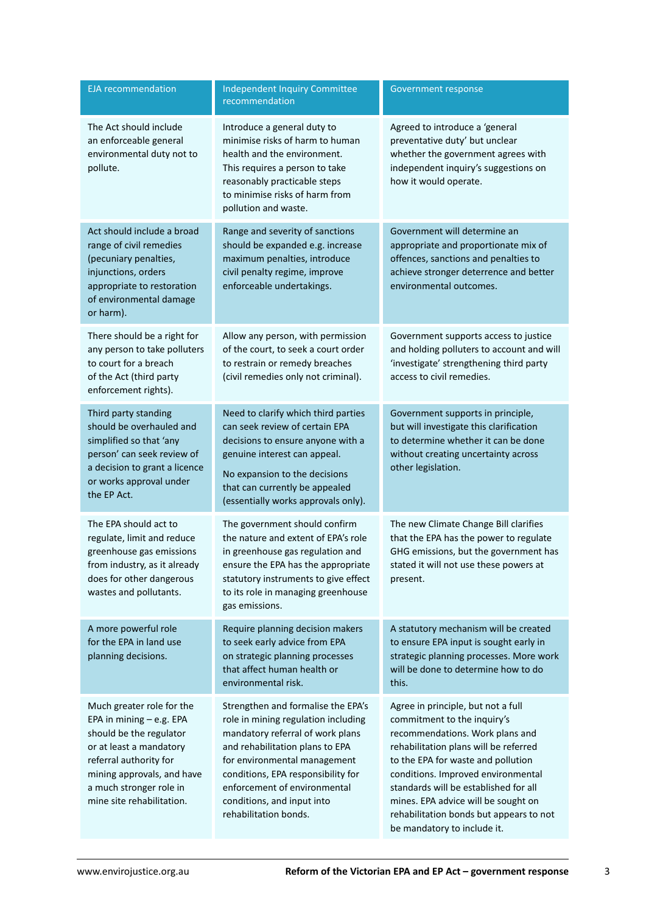| <b>EJA</b> recommendation                                                                                                                                                                                                   | <b>Independent Inquiry Committee</b><br>recommendation                                                                                                                                                                                                                                                        | Government response                                                                                                                                                                                                                                                                                                                                                                 |
|-----------------------------------------------------------------------------------------------------------------------------------------------------------------------------------------------------------------------------|---------------------------------------------------------------------------------------------------------------------------------------------------------------------------------------------------------------------------------------------------------------------------------------------------------------|-------------------------------------------------------------------------------------------------------------------------------------------------------------------------------------------------------------------------------------------------------------------------------------------------------------------------------------------------------------------------------------|
| The Act should include<br>an enforceable general<br>environmental duty not to<br>pollute.                                                                                                                                   | Introduce a general duty to<br>minimise risks of harm to human<br>health and the environment.<br>This requires a person to take<br>reasonably practicable steps<br>to minimise risks of harm from<br>pollution and waste.                                                                                     | Agreed to introduce a 'general<br>preventative duty' but unclear<br>whether the government agrees with<br>independent inquiry's suggestions on<br>how it would operate.                                                                                                                                                                                                             |
| Act should include a broad<br>range of civil remedies<br>(pecuniary penalties,<br>injunctions, orders<br>appropriate to restoration<br>of environmental damage<br>or harm).                                                 | Range and severity of sanctions<br>should be expanded e.g. increase<br>maximum penalties, introduce<br>civil penalty regime, improve<br>enforceable undertakings.                                                                                                                                             | Government will determine an<br>appropriate and proportionate mix of<br>offences, sanctions and penalties to<br>achieve stronger deterrence and better<br>environmental outcomes.                                                                                                                                                                                                   |
| There should be a right for<br>any person to take polluters<br>to court for a breach<br>of the Act (third party<br>enforcement rights).                                                                                     | Allow any person, with permission<br>of the court, to seek a court order<br>to restrain or remedy breaches<br>(civil remedies only not criminal).                                                                                                                                                             | Government supports access to justice<br>and holding polluters to account and will<br>'investigate' strengthening third party<br>access to civil remedies.                                                                                                                                                                                                                          |
| Third party standing<br>should be overhauled and<br>simplified so that 'any<br>person' can seek review of<br>a decision to grant a licence<br>or works approval under<br>the EP Act.                                        | Need to clarify which third parties<br>can seek review of certain EPA<br>decisions to ensure anyone with a<br>genuine interest can appeal.<br>No expansion to the decisions<br>that can currently be appealed<br>(essentially works approvals only).                                                          | Government supports in principle,<br>but will investigate this clarification<br>to determine whether it can be done<br>without creating uncertainty across<br>other legislation.                                                                                                                                                                                                    |
| The EPA should act to<br>regulate, limit and reduce<br>greenhouse gas emissions<br>from industry, as it already<br>does for other dangerous<br>wastes and pollutants.                                                       | The government should confirm<br>the nature and extent of EPA's role<br>in greenhouse gas regulation and<br>ensure the EPA has the appropriate<br>statutory instruments to give effect<br>to its role in managing greenhouse<br>gas emissions.                                                                | The new Climate Change Bill clarifies<br>that the EPA has the power to regulate<br>GHG emissions, but the government has<br>stated it will not use these powers at<br>present.                                                                                                                                                                                                      |
| A more powerful role<br>for the EPA in land use<br>planning decisions.                                                                                                                                                      | Require planning decision makers<br>to seek early advice from EPA<br>on strategic planning processes<br>that affect human health or<br>environmental risk.                                                                                                                                                    | A statutory mechanism will be created<br>to ensure EPA input is sought early in<br>strategic planning processes. More work<br>will be done to determine how to do<br>this.                                                                                                                                                                                                          |
| Much greater role for the<br>EPA in mining - e.g. EPA<br>should be the regulator<br>or at least a mandatory<br>referral authority for<br>mining approvals, and have<br>a much stronger role in<br>mine site rehabilitation. | Strengthen and formalise the EPA's<br>role in mining regulation including<br>mandatory referral of work plans<br>and rehabilitation plans to EPA<br>for environmental management<br>conditions, EPA responsibility for<br>enforcement of environmental<br>conditions, and input into<br>rehabilitation bonds. | Agree in principle, but not a full<br>commitment to the inquiry's<br>recommendations. Work plans and<br>rehabilitation plans will be referred<br>to the EPA for waste and pollution<br>conditions. Improved environmental<br>standards will be established for all<br>mines. EPA advice will be sought on<br>rehabilitation bonds but appears to not<br>be mandatory to include it. |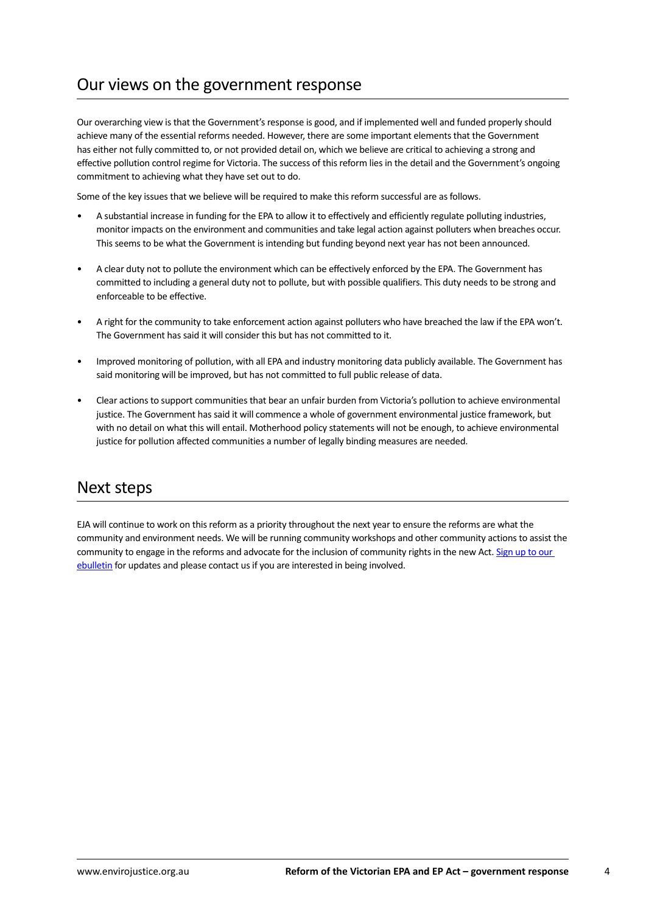## Our views on the government response

Our overarching view is that the Government's response is good, and if implemented well and funded properly should achieve many of the essential reforms needed. However, there are some important elements that the Government has either not fully committed to, or not provided detail on, which we believe are critical to achieving a strong and effective pollution control regime for Victoria. The success of this reform lies in the detail and the Government's ongoing commitment to achieving what they have set out to do.

Some of the key issues that we believe will be required to make this reform successful are as follows.

- A substantial increase in funding for the EPA to allow it to effectively and efficiently regulate polluting industries, monitor impacts on the environment and communities and take legal action against polluters when breaches occur. This seems to be what the Government is intending but funding beyond next year has not been announced.
- A clear duty not to pollute the environment which can be effectively enforced by the EPA. The Government has committed to including a general duty not to pollute, but with possible qualifiers. This duty needs to be strong and enforceable to be effective.
- A right for the community to take enforcement action against polluters who have breached the law if the EPA won't. The Government has said it will consider this but has not committed to it.
- Improved monitoring of pollution, with all EPA and industry monitoring data publicly available. The Government has said monitoring will be improved, but has not committed to full public release of data.
- Clear actions to support communities that bear an unfair burden from Victoria's pollution to achieve environmental justice. The Government has said it will commence a whole of government environmental justice framework, but with no detail on what this will entail. Motherhood policy statements will not be enough, to achieve environmental justice for pollution affected communities a number of legally binding measures are needed.

### Next steps

EJA will continue to work on this reform as a priority throughout the next year to ensure the reforms are what the community and environment needs. We will be running community workshops and other community actions to assist the community to engage in the reforms and advocate for the inclusion of community rights in the new Act. Sign up to our [ebulletin](http://envirojustice.org.au/) for updates and please contact us if you are interested in being involved.